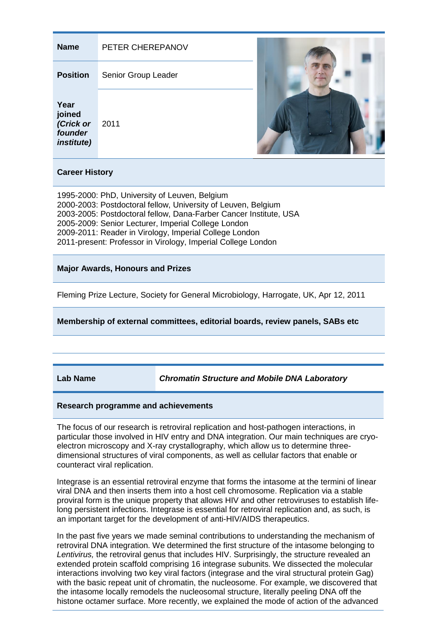| <b>Name</b>                                                                                                                      | PETER CHEREPANOV    |  |
|----------------------------------------------------------------------------------------------------------------------------------|---------------------|--|
| <b>Position</b>                                                                                                                  | Senior Group Leader |  |
| Year<br>joined<br>(Crick or<br>founder<br><i>institute)</i>                                                                      | 2011                |  |
| <b>Career History</b>                                                                                                            |                     |  |
| 1995-2000: PhD, University of Leuven, Belgium<br>2000-2003: Postdoctoral fellow, University of Leuven, Belgium<br>$\overline{a}$ |                     |  |

2003-2005: Postdoctoral fellow, Dana-Farber Cancer Institute, USA 2005-2009: Senior Lecturer, Imperial College London 2009-2011: Reader in Virology, Imperial College London 2011-present: Professor in Virology, Imperial College London

## **Major Awards, Honours and Prizes**

Fleming Prize Lecture, Society for General Microbiology, Harrogate, UK, Apr 12, 2011

**Membership of external committees, editorial boards, review panels, SABs etc**

**Lab Name** *Chromatin Structure and Mobile DNA Laboratory*

## **Research programme and achievements**

The focus of our research is retroviral replication and host-pathogen interactions, in particular those involved in HIV entry and DNA integration. Our main techniques are cryoelectron microscopy and X-ray crystallography, which allow us to determine threedimensional structures of viral components, as well as cellular factors that enable or counteract viral replication.

Integrase is an essential retroviral enzyme that forms the intasome at the termini of linear viral DNA and then inserts them into a host cell chromosome. Replication via a stable proviral form is the unique property that allows HIV and other retroviruses to establish lifelong persistent infections. Integrase is essential for retroviral replication and, as such, is an important target for the development of anti-HIV/AIDS therapeutics.

In the past five years we made seminal contributions to understanding the mechanism of retroviral DNA integration. We determined the first structure of the intasome belonging to *Lentivirus,* the retroviral genus that includes HIV. Surprisingly, the structure revealed an extended protein scaffold comprising 16 integrase subunits. We dissected the molecular interactions involving two key viral factors (integrase and the viral structural protein Gag) with the basic repeat unit of chromatin, the nucleosome. For example, we discovered that the intasome locally remodels the nucleosomal structure, literally peeling DNA off the histone octamer surface. More recently, we explained the mode of action of the advanced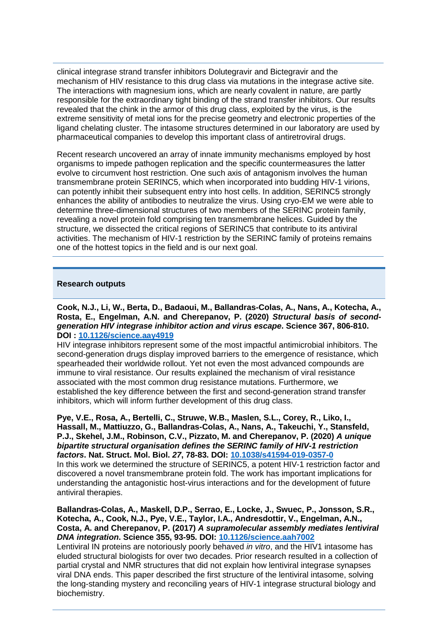clinical integrase strand transfer inhibitors Dolutegravir and Bictegravir and the mechanism of HIV resistance to this drug class via mutations in the integrase active site. The interactions with magnesium ions, which are nearly covalent in nature, are partly responsible for the extraordinary tight binding of the strand transfer inhibitors. Our results revealed that the chink in the armor of this drug class, exploited by the virus, is the extreme sensitivity of metal ions for the precise geometry and electronic properties of the ligand chelating cluster. The intasome structures determined in our laboratory are used by pharmaceutical companies to develop this important class of antiretroviral drugs.

Recent research uncovered an array of innate immunity mechanisms employed by host organisms to impede pathogen replication and the specific countermeasures the latter evolve to circumvent host restriction. One such axis of antagonism involves the human transmembrane protein SERINC5, which when incorporated into budding HIV-1 virions, can potently inhibit their subsequent entry into host cells. In addition, SERINC5 strongly enhances the ability of antibodies to neutralize the virus. Using cryo-EM we were able to determine three-dimensional structures of two members of the SERINC protein family, revealing a novel protein fold comprising ten transmembrane helices. Guided by the structure, we dissected the critical regions of SERINC5 that contribute to its antiviral activities. The mechanism of HIV-1 restriction by the SERINC family of proteins remains one of the hottest topics in the field and is our next goal.

## **Research outputs**

**Cook, N.J., Li, W., Berta, D., Badaoui, M., Ballandras-Colas, A., Nans, A., Kotecha, A., Rosta, E., Engelman, A.N. and Cherepanov, P. (2020)** *Structural basis of secondgeneration HIV integrase inhibitor action and virus escape***. Science 367, 806-810. DOI : [10.1126/science.aay4919](https://science.sciencemag.org/content/367/6479/806/tab-article-info)**

HIV integrase inhibitors represent some of the most impactful antimicrobial inhibitors. The second-generation drugs display improved barriers to the emergence of resistance, which spearheaded their worldwide rollout. Yet not even the most advanced compounds are immune to viral resistance. Our results explained the mechanism of viral resistance associated with the most common drug resistance mutations. Furthermore, we established the key difference between the first and second-generation strand transfer inhibitors, which will inform further development of this drug class.

**Pye, V.E., Rosa, A., Bertelli, C., Struwe, W.B., Maslen, S.L., Corey, R., Liko, I., Hassall, M., Mattiuzzo, G., Ballandras-Colas, A., Nans, A., Takeuchi, Y., Stansfeld, P.J., Skehel, J.M., Robinson, C.V., Pizzato, M. and Cherepanov, P. (2020)** *A unique bipartite structural organisation defines the SERINC family of HIV-1 restriction factors***. Nat. Struct. Mol. Biol.** *27***, 78-83. DOI: [10.1038/s41594-019-0357-0](http://doi.org/10.1038/s41594-019-0357-0)**

In this work we determined the structure of SERINC5, a potent HIV-1 restriction factor and discovered a novel transmembrane protein fold. The work has important implications for understanding the antagonistic host-virus interactions and for the development of future antiviral therapies.

**Ballandras-Colas, A., Maskell, D.P., Serrao, E., Locke, J., Swuec, P., Jonsson, S.R., Kotecha, A., Cook, N.J., Pye, V.E., Taylor, I.A., Andresdottir, V., Engelman, A.N., Costa, A. and Cherepanov, P. (2017)** *A supramolecular assembly mediates lentiviral DNA integration***. Science 355, 93-95. DOI: [10.1126/science.aah7002](https://pubmed.ncbi.nlm.nih.gov/28059770/)**

Lentiviral IN proteins are notoriously poorly behaved *in vitro*, and the HIV1 intasome has eluded structural biologists for over two decades. Prior research resulted in a collection of partial crystal and NMR structures that did not explain how lentiviral integrase synapses viral DNA ends. This paper described the first structure of the lentiviral intasome, solving the long-standing mystery and reconciling years of HIV-1 integrase structural biology and biochemistry.